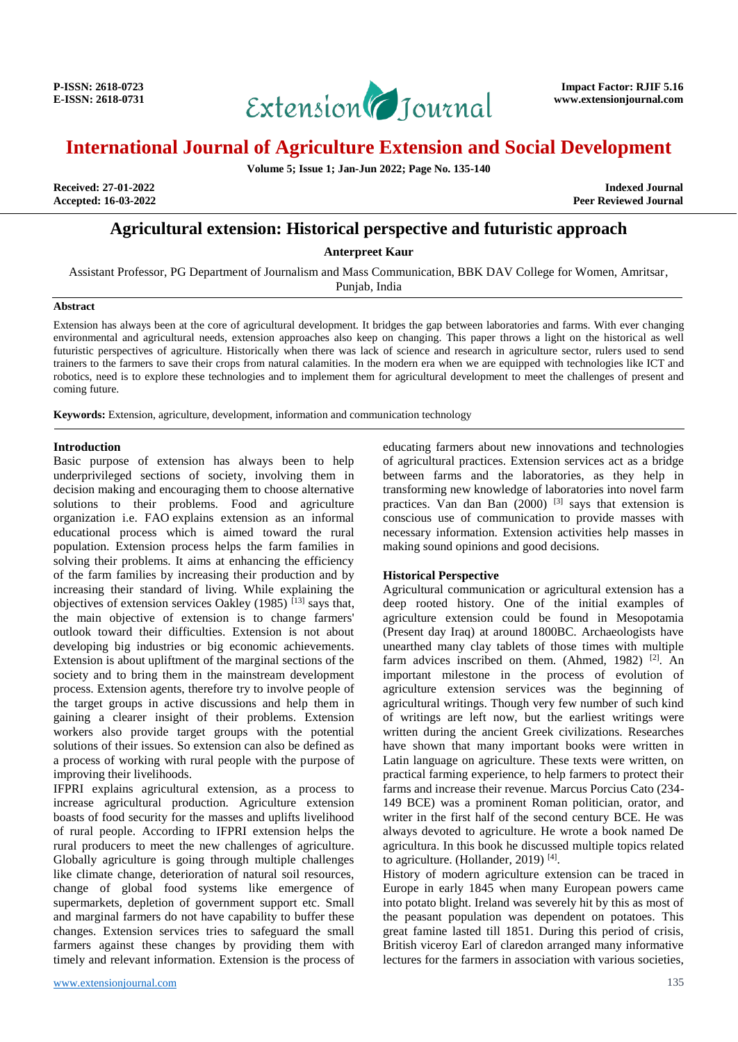

**Volume 5; Issue 1; Jan-Jun 2022; Page No. 135-140**

**Accepted: 16-03-2022** 

**Received: 27-01-2022 Indexed Journal**

# **Agricultural extension: Historical perspective and futuristic approach**

**Anterpreet Kaur**

Assistant Professor, PG Department of Journalism and Mass Communication, BBK DAV College for Women, Amritsar, Punjab, India

#### **Abstract**

Extension has always been at the core of agricultural development. It bridges the gap between laboratories and farms. With ever changing environmental and agricultural needs, extension approaches also keep on changing. This paper throws a light on the historical as well futuristic perspectives of agriculture. Historically when there was lack of science and research in agriculture sector, rulers used to send trainers to the farmers to save their crops from natural calamities. In the modern era when we are equipped with technologies like ICT and robotics, need is to explore these technologies and to implement them for agricultural development to meet the challenges of present and coming future.

**Keywords:** Extension, agriculture, development, information and communication technology

#### **Introduction**

Basic purpose of extension has always been to help underprivileged sections of society, involving them in decision making and encouraging them to choose alternative solutions to their problems. Food and agriculture organization i.e. FAO explains extension as an informal educational process which is aimed toward the rural population. Extension process helps the farm families in solving their problems. It aims at enhancing the efficiency of the farm families by increasing their production and by increasing their standard of living. While explaining the objectives of extension services Oakley  $(1985)$ <sup>[13]</sup> says that, the main objective of extension is to change farmers' outlook toward their difficulties. Extension is not about developing big industries or big economic achievements. Extension is about upliftment of the marginal sections of the society and to bring them in the mainstream development process. Extension agents, therefore try to involve people of the target groups in active discussions and help them in gaining a clearer insight of their problems. Extension workers also provide target groups with the potential solutions of their issues. So extension can also be defined as a process of working with rural people with the purpose of improving their livelihoods.

IFPRI explains agricultural extension, as a process to increase agricultural production. Agriculture extension boasts of food security for the masses and uplifts livelihood of rural people. According to IFPRI extension helps the rural producers to meet the new challenges of agriculture. Globally agriculture is going through multiple challenges like climate change, deterioration of natural soil resources, change of global food systems like emergence of supermarkets, depletion of government support etc. Small and marginal farmers do not have capability to buffer these changes. Extension services tries to safeguard the small farmers against these changes by providing them with timely and relevant information. Extension is the process of educating farmers about new innovations and technologies of agricultural practices. Extension services act as a bridge between farms and the laboratories, as they help in transforming new knowledge of laboratories into novel farm practices. Van dan Ban  $(2000)$ <sup>[3]</sup> says that extension is conscious use of communication to provide masses with necessary information. Extension activities help masses in making sound opinions and good decisions.

#### **Historical Perspective**

Agricultural communication or agricultural extension has a deep rooted history. One of the initial examples of agriculture extension could be found in Mesopotamia (Present day Iraq) at around 1800BC. Archaeologists have unearthed many clay tablets of those times with multiple farm advices inscribed on them. (Ahmed, 1982)<sup>[2]</sup>. An important milestone in the process of evolution of agriculture extension services was the beginning of agricultural writings. Though very few number of such kind of writings are left now, but the earliest writings were written during the ancient Greek civilizations. Researches have shown that many important books were written in Latin language on agriculture. These texts were written, on practical farming experience, to help farmers to protect their farms and increase their revenue. Marcus Porcius Cato (234- 149 BCE) was a prominent Roman politician, orator, and writer in the first half of the second century BCE. He was always devoted to agriculture. He wrote a book named De agricultura. In this book he discussed multiple topics related to agriculture. (Hollander, 2019)<sup>[4]</sup>.

History of modern agriculture extension can be traced in Europe in early 1845 when many European powers came into potato blight. Ireland was severely hit by this as most of the peasant population was dependent on potatoes. This great famine lasted till 1851. During this period of crisis, British viceroy Earl of claredon arranged many informative lectures for the farmers in association with various societies,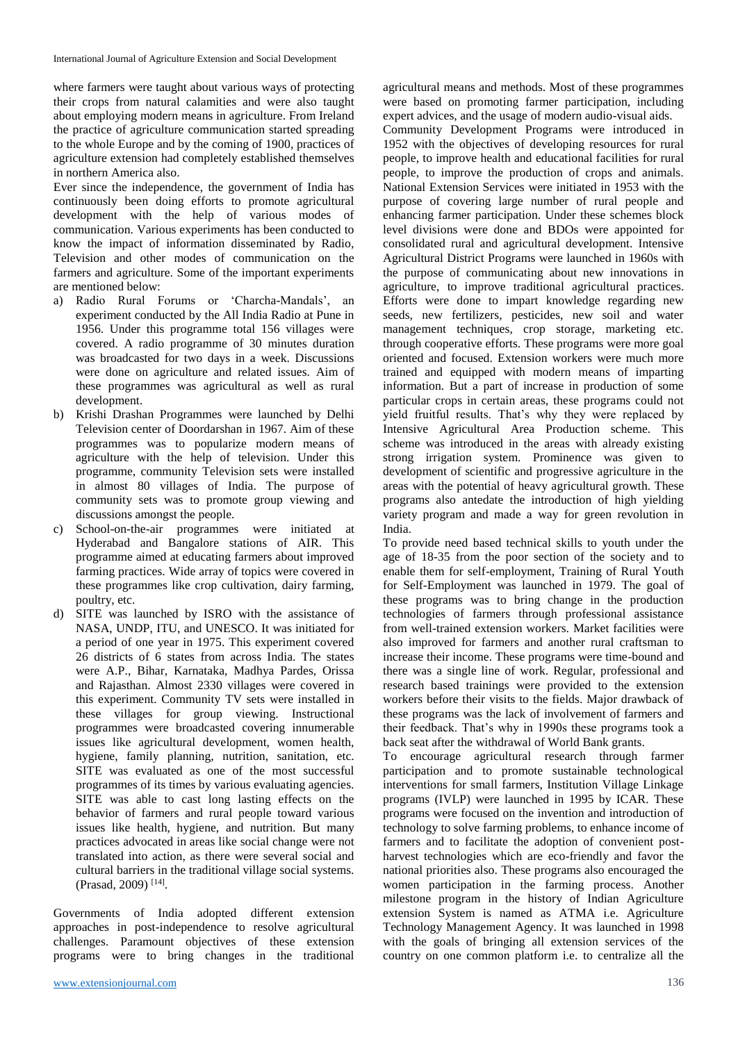where farmers were taught about various ways of protecting their crops from natural calamities and were also taught about employing modern means in agriculture. From Ireland the practice of agriculture communication started spreading to the whole Europe and by the coming of 1900, practices of agriculture extension had completely established themselves in northern America also.

Ever since the independence, the government of India has continuously been doing efforts to promote agricultural development with the help of various modes of communication. Various experiments has been conducted to know the impact of information disseminated by Radio, Television and other modes of communication on the farmers and agriculture. Some of the important experiments are mentioned below:

- a) Radio Rural Forums or 'Charcha-Mandals', an experiment conducted by the All India Radio at Pune in 1956. Under this programme total 156 villages were covered. A radio programme of 30 minutes duration was broadcasted for two days in a week. Discussions were done on agriculture and related issues. Aim of these programmes was agricultural as well as rural development.
- b) Krishi Drashan Programmes were launched by Delhi Television center of Doordarshan in 1967. Aim of these programmes was to popularize modern means of agriculture with the help of television. Under this programme, community Television sets were installed in almost 80 villages of India. The purpose of community sets was to promote group viewing and discussions amongst the people.
- c) School-on-the-air programmes were initiated at Hyderabad and Bangalore stations of AIR. This programme aimed at educating farmers about improved farming practices. Wide array of topics were covered in these programmes like crop cultivation, dairy farming, poultry, etc.
- d) SITE was launched by ISRO with the assistance of NASA, UNDP, ITU, and UNESCO. It was initiated for a period of one year in 1975. This experiment covered 26 districts of 6 states from across India. The states were A.P., Bihar, Karnataka, Madhya Pardes, Orissa and Rajasthan. Almost 2330 villages were covered in this experiment. Community TV sets were installed in these villages for group viewing. Instructional programmes were broadcasted covering innumerable issues like agricultural development, women health, hygiene, family planning, nutrition, sanitation, etc. SITE was evaluated as one of the most successful programmes of its times by various evaluating agencies. SITE was able to cast long lasting effects on the behavior of farmers and rural people toward various issues like health, hygiene, and nutrition. But many practices advocated in areas like social change were not translated into action, as there were several social and cultural barriers in the traditional village social systems. (Prasad, 2009)<sup>[14]</sup>.

Governments of India adopted different extension approaches in post-independence to resolve agricultural challenges. Paramount objectives of these extension programs were to bring changes in the traditional

agricultural means and methods. Most of these programmes were based on promoting farmer participation, including expert advices, and the usage of modern audio-visual aids.

Community Development Programs were introduced in 1952 with the objectives of developing resources for rural people, to improve health and educational facilities for rural people, to improve the production of crops and animals. National Extension Services were initiated in 1953 with the purpose of covering large number of rural people and enhancing farmer participation. Under these schemes block level divisions were done and BDOs were appointed for consolidated rural and agricultural development. Intensive Agricultural District Programs were launched in 1960s with the purpose of communicating about new innovations in agriculture, to improve traditional agricultural practices. Efforts were done to impart knowledge regarding new seeds, new fertilizers, pesticides, new soil and water management techniques, crop storage, marketing etc. through cooperative efforts. These programs were more goal oriented and focused. Extension workers were much more trained and equipped with modern means of imparting information. But a part of increase in production of some particular crops in certain areas, these programs could not yield fruitful results. That's why they were replaced by Intensive Agricultural Area Production scheme. This scheme was introduced in the areas with already existing strong irrigation system. Prominence was given to development of scientific and progressive agriculture in the areas with the potential of heavy agricultural growth. These programs also antedate the introduction of high yielding variety program and made a way for green revolution in India.

To provide need based technical skills to youth under the age of 18-35 from the poor section of the society and to enable them for self-employment, Training of Rural Youth for Self-Employment was launched in 1979. The goal of these programs was to bring change in the production technologies of farmers through professional assistance from well-trained extension workers. Market facilities were also improved for farmers and another rural craftsman to increase their income. These programs were time-bound and there was a single line of work. Regular, professional and research based trainings were provided to the extension workers before their visits to the fields. Major drawback of these programs was the lack of involvement of farmers and their feedback. That's why in 1990s these programs took a back seat after the withdrawal of World Bank grants.

To encourage agricultural research through farmer participation and to promote sustainable technological interventions for small farmers, Institution Village Linkage programs (IVLP) were launched in 1995 by ICAR. These programs were focused on the invention and introduction of technology to solve farming problems, to enhance income of farmers and to facilitate the adoption of convenient postharvest technologies which are eco-friendly and favor the national priorities also. These programs also encouraged the women participation in the farming process. Another milestone program in the history of Indian Agriculture extension System is named as ATMA i.e. Agriculture Technology Management Agency. It was launched in 1998 with the goals of bringing all extension services of the country on one common platform i.e. to centralize all the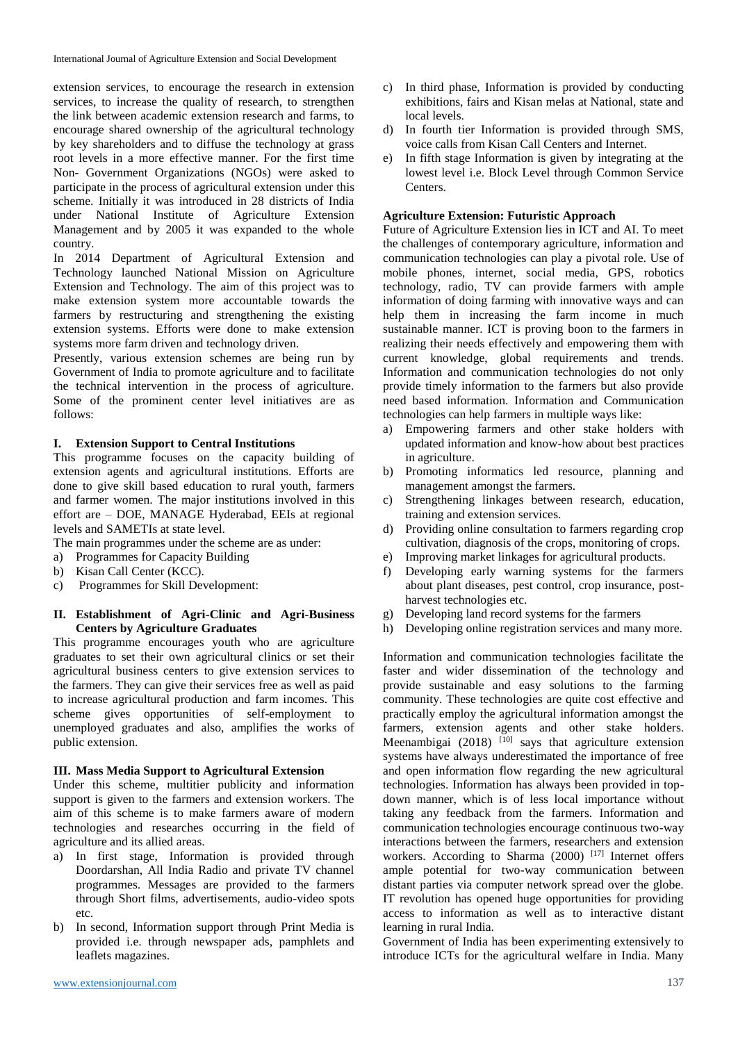extension services, to encourage the research in extension services, to increase the quality of research, to strengthen the link between academic extension research and farms, to encourage shared ownership of the agricultural technology by key shareholders and to diffuse the technology at grass root levels in a more effective manner. For the first time Non- Government Organizations (NGOs) were asked to participate in the process of agricultural extension under this scheme. Initially it was introduced in 28 districts of India under National Institute of Agriculture Extension Management and by 2005 it was expanded to the whole country.

In 2014 Department of Agricultural Extension and Technology launched National Mission on Agriculture Extension and Technology. The aim of this project was to make extension system more accountable towards the farmers by restructuring and strengthening the existing extension systems. Efforts were done to make extension systems more farm driven and technology driven.

Presently, various extension schemes are being run by Government of India to promote agriculture and to facilitate the technical intervention in the process of agriculture. Some of the prominent center level initiatives are as follows:

#### **I. Extension Support to Central Institutions**

This programme focuses on the capacity building of extension agents and agricultural institutions. Efforts are done to give skill based education to rural youth, farmers and farmer women. The major institutions involved in this effort are – DOE, MANAGE Hyderabad, EEIs at regional levels and SAMETIs at state level.

The main programmes under the scheme are as under:

- a) Programmes for Capacity Building
- b) Kisan Call Center (KCC).
- c) Programmes for Skill Development:

#### **II. Establishment of Agri-Clinic and Agri-Business Centers by Agriculture Graduates**

This programme encourages youth who are agriculture graduates to set their own agricultural clinics or set their agricultural business centers to give extension services to the farmers. They can give their services free as well as paid to increase agricultural production and farm incomes. This scheme gives opportunities of self-employment to unemployed graduates and also, amplifies the works of public extension.

#### **III. Mass Media Support to Agricultural Extension**

Under this scheme, multitier publicity and information support is given to the farmers and extension workers. The aim of this scheme is to make farmers aware of modern technologies and researches occurring in the field of agriculture and its allied areas.

- a) In first stage, Information is provided through Doordarshan, All India Radio and private TV channel programmes. Messages are provided to the farmers through Short films, advertisements, audio-video spots etc.
- b) In second, Information support through Print Media is provided i.e. through newspaper ads, pamphlets and leaflets magazines.
- c) In third phase, Information is provided by conducting exhibitions, fairs and Kisan melas at National, state and local levels.
- d) In fourth tier Information is provided through SMS, voice calls from Kisan Call Centers and Internet.
- e) In fifth stage Information is given by integrating at the lowest level i.e. Block Level through Common Service Centers.

#### **Agriculture Extension: Futuristic Approach**

Future of Agriculture Extension lies in ICT and AI. To meet the challenges of contemporary agriculture, information and communication technologies can play a pivotal role. Use of mobile phones, internet, social media, GPS, robotics technology, radio, TV can provide farmers with ample information of doing farming with innovative ways and can help them in increasing the farm income in much sustainable manner. ICT is proving boon to the farmers in realizing their needs effectively and empowering them with current knowledge, global requirements and trends. Information and communication technologies do not only provide timely information to the farmers but also provide need based information. Information and Communication technologies can help farmers in multiple ways like:

- a) Empowering farmers and other stake holders with updated information and know-how about best practices in agriculture.
- b) Promoting informatics led resource, planning and management amongst the farmers.
- c) Strengthening linkages between research, education, training and extension services.
- d) Providing online consultation to farmers regarding crop cultivation, diagnosis of the crops, monitoring of crops.
- e) Improving market linkages for agricultural products.
- f) Developing early warning systems for the farmers about plant diseases, pest control, crop insurance, postharvest technologies etc.
- g) Developing land record systems for the farmers
- h) Developing online registration services and many more.

Information and communication technologies facilitate the faster and wider dissemination of the technology and provide sustainable and easy solutions to the farming community. These technologies are quite cost effective and practically employ the agricultural information amongst the farmers, extension agents and other stake holders. Meenambigai  $(2018)$ <sup>[10]</sup> says that agriculture extension systems have always underestimated the importance of free and open information flow regarding the new agricultural technologies. Information has always been provided in topdown manner, which is of less local importance without taking any feedback from the farmers. Information and communication technologies encourage continuous two-way interactions between the farmers, researchers and extension workers. According to Sharma (2000)<sup>[17]</sup> Internet offers ample potential for two-way communication between distant parties via computer network spread over the globe. IT revolution has opened huge opportunities for providing access to information as well as to interactive distant learning in rural India.

Government of India has been experimenting extensively to introduce ICTs for the agricultural welfare in India. Many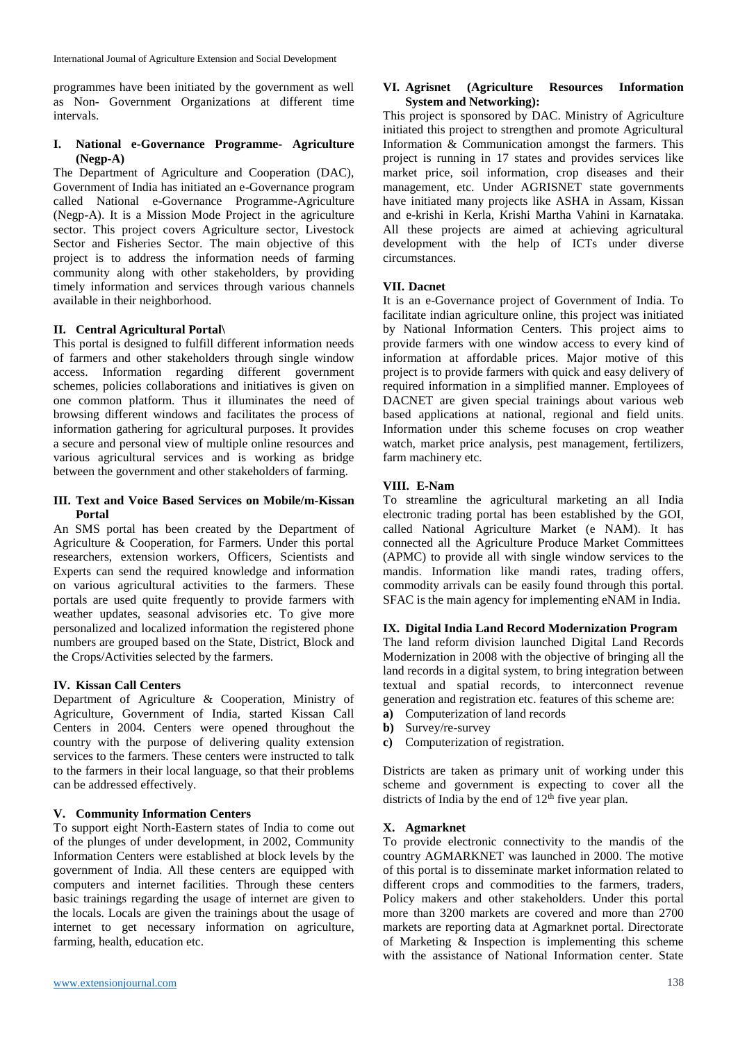programmes have been initiated by the government as well as Non- Government Organizations at different time intervals.

#### **I. National e-Governance Programme- Agriculture (Negp-A)**

The Department of Agriculture and Cooperation (DAC), Government of India has initiated an e-Governance program called National e-Governance Programme-Agriculture (Negp-A). It is a Mission Mode Project in the agriculture sector. This project covers Agriculture sector, Livestock Sector and Fisheries Sector. The main objective of this project is to address the information needs of farming community along with other stakeholders, by providing timely information and services through various channels available in their neighborhood.

#### **II. Central Agricultural Portal\**

This portal is designed to fulfill different information needs of farmers and other stakeholders through single window access. Information regarding different government schemes, policies collaborations and initiatives is given on one common platform. Thus it illuminates the need of browsing different windows and facilitates the process of information gathering for agricultural purposes. It provides a secure and personal view of multiple online resources and various agricultural services and is working as bridge between the government and other stakeholders of farming.

#### **III. Text and Voice Based Services on Mobile/m-Kissan Portal**

An SMS portal has been created by the Department of Agriculture & Cooperation, for Farmers. Under this portal researchers, extension workers, Officers, Scientists and Experts can send the required knowledge and information on various agricultural activities to the farmers. These portals are used quite frequently to provide farmers with weather updates, seasonal advisories etc. To give more personalized and localized information the registered phone numbers are grouped based on the State, District, Block and the Crops/Activities selected by the farmers.

#### **IV. Kissan Call Centers**

Department of Agriculture & Cooperation, Ministry of Agriculture, Government of India, started Kissan Call Centers in 2004. Centers were opened throughout the country with the purpose of delivering quality extension services to the farmers. These centers were instructed to talk to the farmers in their local language, so that their problems can be addressed effectively.

#### **V. Community Information Centers**

To support eight North-Eastern states of India to come out of the plunges of under development, in 2002, Community Information Centers were established at block levels by the government of India. All these centers are equipped with computers and internet facilities. Through these centers basic trainings regarding the usage of internet are given to the locals. Locals are given the trainings about the usage of internet to get necessary information on agriculture, farming, health, education etc.

#### **VI. Agrisnet (Agriculture Resources Information System and Networking):**

This project is sponsored by DAC. Ministry of Agriculture initiated this project to strengthen and promote Agricultural Information  $\&$  Communication amongst the farmers. This project is running in 17 states and provides services like market price, soil information, crop diseases and their management, etc. Under AGRISNET state governments have initiated many projects like ASHA in Assam, Kissan and e-krishi in Kerla, Krishi Martha Vahini in Karnataka. All these projects are aimed at achieving agricultural development with the help of ICTs under diverse circumstances.

## **VII. Dacnet**

It is an e-Governance project of Government of India. To facilitate indian agriculture online, this project was initiated by National Information Centers. This project aims to provide farmers with one window access to every kind of information at affordable prices. Major motive of this project is to provide farmers with quick and easy delivery of required information in a simplified manner. Employees of DACNET are given special trainings about various web based applications at national, regional and field units. Information under this scheme focuses on crop weather watch, market price analysis, pest management, fertilizers, farm machinery etc.

## **VIII. E-Nam**

To streamline the agricultural marketing an all India electronic trading portal has been established by the GOI, called National Agriculture Market (e NAM). It has connected all the Agriculture Produce Market Committees (APMC) to provide all with single window services to the mandis. Information like mandi rates, trading offers, commodity arrivals can be easily found through this portal. SFAC is the main agency for implementing eNAM in India.

#### **IX. Digital India Land Record Modernization Program**

The land reform division launched Digital Land Records Modernization in 2008 with the objective of bringing all the land records in a digital system, to bring integration between textual and spatial records, to interconnect revenue generation and registration etc. features of this scheme are:

- **a)** Computerization of land records
- **b)** Survey/re-survey
- **c)** Computerization of registration.

Districts are taken as primary unit of working under this scheme and government is expecting to cover all the districts of India by the end of  $12<sup>th</sup>$  five year plan.

#### **X. Agmarknet**

To provide electronic connectivity to the mandis of the country AGMARKNET was launched in 2000. The motive of this portal is to disseminate market information related to different crops and commodities to the farmers, traders, Policy makers and other stakeholders. Under this portal more than 3200 markets are covered and more than 2700 markets are reporting data at Agmarknet portal. Directorate of Marketing & Inspection is implementing this scheme with the assistance of National Information center. State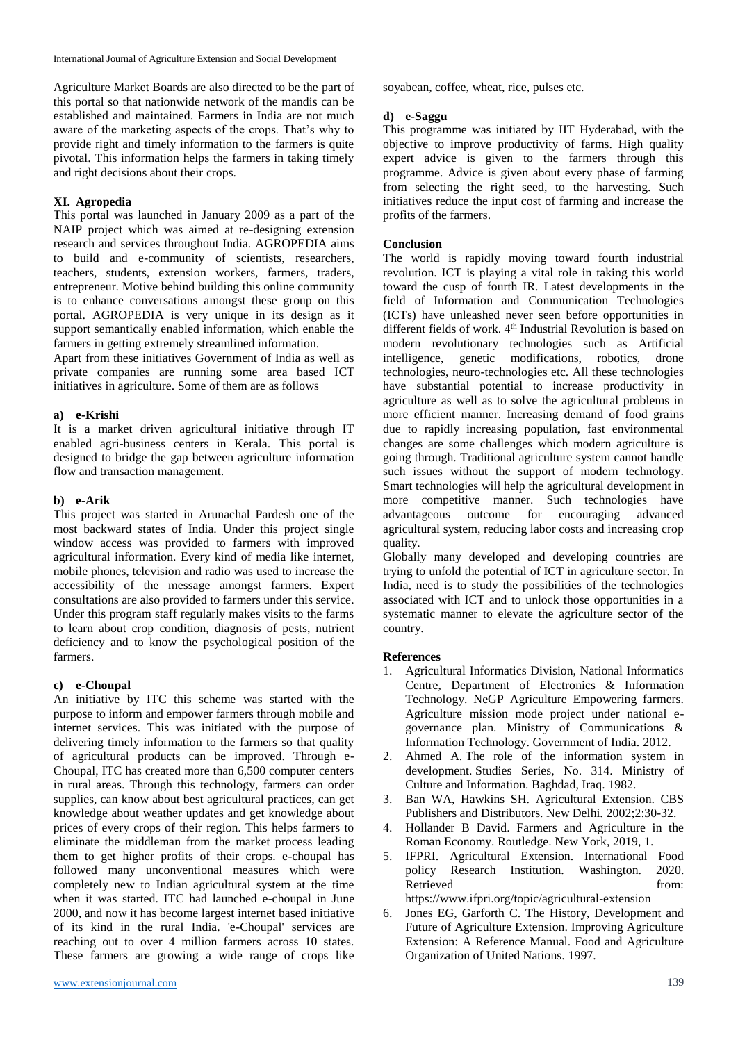Agriculture Market Boards are also directed to be the part of this portal so that nationwide network of the mandis can be established and maintained. Farmers in India are not much aware of the marketing aspects of the crops. That's why to provide right and timely information to the farmers is quite pivotal. This information helps the farmers in taking timely and right decisions about their crops.

# **XI. Agropedia**

This portal was launched in January 2009 as a part of the NAIP project which was aimed at re-designing extension research and services throughout India. AGROPEDIA aims to build and e-community of scientists, researchers, teachers, students, extension workers, farmers, traders, entrepreneur. Motive behind building this online community is to enhance conversations amongst these group on this portal. AGROPEDIA is very unique in its design as it support semantically enabled information, which enable the farmers in getting extremely streamlined information.

Apart from these initiatives Government of India as well as private companies are running some area based ICT initiatives in agriculture. Some of them are as follows

#### **a) e-Krishi**

It is a market driven agricultural initiative through IT enabled agri-business centers in Kerala. This portal is designed to bridge the gap between agriculture information flow and transaction management.

#### **b) e-Arik**

This project was started in Arunachal Pardesh one of the most backward states of India. Under this project single window access was provided to farmers with improved agricultural information. Every kind of media like internet, mobile phones, television and radio was used to increase the accessibility of the message amongst farmers. Expert consultations are also provided to farmers under this service. Under this program staff regularly makes visits to the farms to learn about crop condition, diagnosis of pests, nutrient deficiency and to know the psychological position of the farmers.

#### **c) e-Choupal**

An initiative by ITC this scheme was started with the purpose to inform and empower farmers through mobile and internet services. This was initiated with the purpose of delivering timely information to the farmers so that quality of agricultural products can be improved. Through e-Choupal, ITC has created more than 6,500 computer centers in rural areas. Through this technology, farmers can order supplies, can know about best agricultural practices, can get knowledge about weather updates and get knowledge about prices of every crops of their region. This helps farmers to eliminate the middleman from the market process leading them to get higher profits of their crops. e-choupal has followed many unconventional measures which were completely new to Indian agricultural system at the time when it was started. ITC had launched e-choupal in June 2000, and now it has become largest internet based initiative of its kind in the rural India. 'e-Choupal' services are reaching out to over 4 million farmers across 10 states. These farmers are growing a wide range of crops like soyabean, coffee, wheat, rice, pulses etc.

#### **d) e-Saggu**

This programme was initiated by IIT Hyderabad, with the objective to improve productivity of farms. High quality expert advice is given to the farmers through this programme. Advice is given about every phase of farming from selecting the right seed, to the harvesting. Such initiatives reduce the input cost of farming and increase the profits of the farmers.

#### **Conclusion**

The world is rapidly moving toward fourth industrial revolution. ICT is playing a vital role in taking this world toward the cusp of fourth IR. Latest developments in the field of Information and Communication Technologies (ICTs) have unleashed never seen before opportunities in different fields of work. 4<sup>th</sup> Industrial Revolution is based on modern revolutionary technologies such as Artificial intelligence, genetic modifications, robotics, drone technologies, neuro-technologies etc. All these technologies have substantial potential to increase productivity in agriculture as well as to solve the agricultural problems in more efficient manner. Increasing demand of food grains due to rapidly increasing population, fast environmental changes are some challenges which modern agriculture is going through. Traditional agriculture system cannot handle such issues without the support of modern technology. Smart technologies will help the agricultural development in more competitive manner. Such technologies have advantageous outcome for encouraging advanced agricultural system, reducing labor costs and increasing crop quality.

Globally many developed and developing countries are trying to unfold the potential of ICT in agriculture sector. In India, need is to study the possibilities of the technologies associated with ICT and to unlock those opportunities in a systematic manner to elevate the agriculture sector of the country.

#### **References**

- 1. Agricultural Informatics Division, National Informatics Centre, Department of Electronics & Information Technology. NeGP Agriculture Empowering farmers. Agriculture mission mode project under national egovernance plan. Ministry of Communications & Information Technology. Government of India. 2012.
- 2. Ahmed A. The role of the information system in development. Studies Series, No. 314. Ministry of Culture and Information. Baghdad, Iraq. 1982.
- 3. Ban WA, Hawkins SH. Agricultural Extension. CBS Publishers and Distributors. New Delhi. 2002;2:30-32.
- 4. Hollander B David. Farmers and Agriculture in the Roman Economy. Routledge. New York, 2019, 1.
- 5. IFPRI. Agricultural Extension. International Food policy Research Institution. Washington. 2020. Retrieved from: https://www.ifpri.org/topic/agricultural-extension
- 6. Jones EG, Garforth C. The History, Development and Future of Agriculture Extension. Improving Agriculture Extension: A Reference Manual. Food and Agriculture Organization of United Nations. 1997.